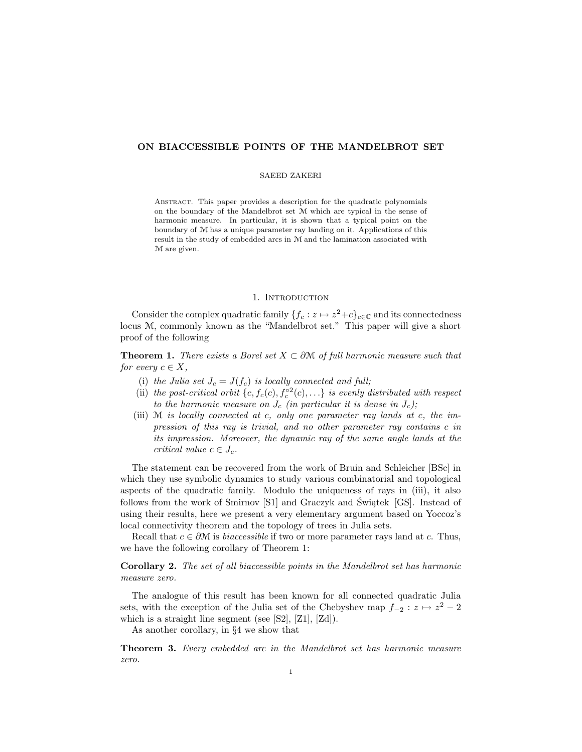# ON BIACCESSIBLE POINTS OF THE MANDELBROT SET

#### SAEED ZAKERI

Abstract. This paper provides a description for the quadratic polynomials on the boundary of the Mandelbrot set M which are typical in the sense of harmonic measure. In particular, it is shown that a typical point on the boundary of M has a unique parameter ray landing on it. Applications of this result in the study of embedded arcs in M and the lamination associated with M are given.

# 1. INTRODUCTION

Consider the complex quadratic family  $\{f_c : z \mapsto z^2 + c\}_{c \in \mathbb{C}}$  and its connectedness locus M, commonly known as the "Mandelbrot set." This paper will give a short proof of the following

**Theorem 1.** There exists a Borel set  $X \subset \partial M$  of full harmonic measure such that for every  $c \in X$ ,

- (i) the Julia set  $J_c = J(f_c)$  is locally connected and full;
- (ii) the post-critical orbit  $\{c, f_c(c), f_c^{\circ 2}(c), \ldots\}$  is evenly distributed with respect to the harmonic measure on  $J_c$  (in particular it is dense in  $J_c$ );
- (iii) M is locally connected at c, only one parameter ray lands at c, the impression of this ray is trivial, and no other parameter ray contains c in its impression. Moreover, the dynamic ray of the same angle lands at the critical value  $c \in J_c$ .

The statement can be recovered from the work of Bruin and Schleicher [BSc] in which they use symbolic dynamics to study various combinatorial and topological aspects of the quadratic family. Modulo the uniqueness of rays in (iii), it also follows from the work of Smirnov  $[S1]$  and Graczyk and Swiatek  $[GS]$ . Instead of using their results, here we present a very elementary argument based on Yoccoz's local connectivity theorem and the topology of trees in Julia sets.

Recall that  $c \in \partial M$  is *biaccessible* if two or more parameter rays land at c. Thus, we have the following corollary of Theorem 1:

Corollary 2. The set of all biaccessible points in the Mandelbrot set has harmonic measure zero.

The analogue of this result has been known for all connected quadratic Julia sets, with the exception of the Julia set of the Chebyshev map  $f_{-2}$ :  $z \mapsto z^2 - 2$ which is a straight line segment (see [S2], [Z1], [Zd]).

As another corollary, in §4 we show that

**Theorem 3.** Every embedded arc in the Mandelbrot set has harmonic measure zero.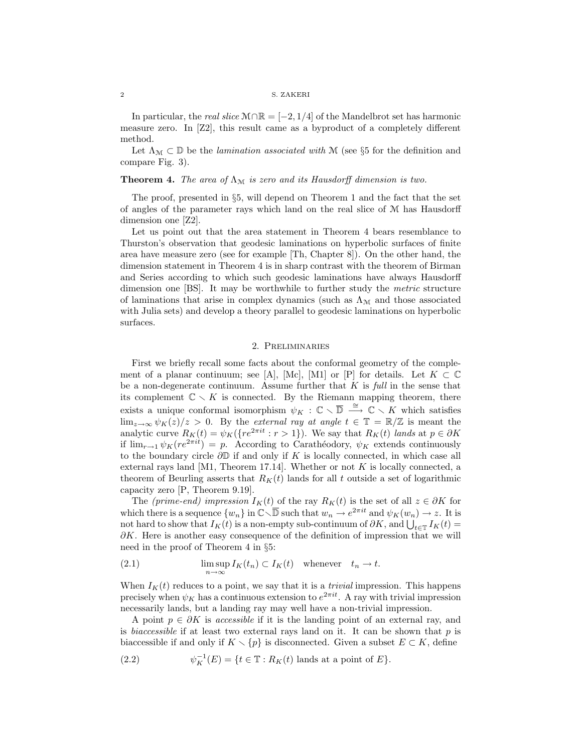In particular, the *real slice*  $M \cap \mathbb{R} = [-2, 1/4]$  of the Mandelbrot set has harmonic measure zero. In [Z2], this result came as a byproduct of a completely different method.

Let  $\Lambda_{\mathcal{M}} \subset \mathbb{D}$  be the *lamination associated with* M (see §5 for the definition and compare Fig. 3).

**Theorem 4.** The area of  $\Lambda_M$  is zero and its Hausdorff dimension is two.

The proof, presented in  $\S5$ , will depend on Theorem 1 and the fact that the set of angles of the parameter rays which land on the real slice of M has Hausdorff dimension one [Z2].

Let us point out that the area statement in Theorem 4 bears resemblance to Thurston's observation that geodesic laminations on hyperbolic surfaces of finite area have measure zero (see for example [Th, Chapter 8]). On the other hand, the dimension statement in Theorem 4 is in sharp contrast with the theorem of Birman and Series according to which such geodesic laminations have always Hausdorff dimension one [BS]. It may be worthwhile to further study the metric structure of laminations that arise in complex dynamics (such as  $\Lambda_{\mathcal{M}}$  and those associated with Julia sets) and develop a theory parallel to geodesic laminations on hyperbolic surfaces.

## 2. Preliminaries

First we briefly recall some facts about the conformal geometry of the complement of a planar continuum; see [A], [Mc], [M1] or [P] for details. Let  $K \subset \mathbb{C}$ be a non-degenerate continuum. Assume further that  $K$  is full in the sense that its complement  $\mathbb{C} \setminus K$  is connected. By the Riemann mapping theorem, there exists a unique conformal isomorphism  $\psi_K : \mathbb{C} \setminus \overline{\mathbb{D}} \stackrel{\cong}{\longrightarrow} \mathbb{C} \setminus K$  which satisfies  $\lim_{z\to\infty}\psi_K(z)/z>0$ . By the external ray at angle  $t\in\mathbb{T}=\mathbb{R}/\mathbb{Z}$  is meant the analytic curve  $R_K(t) = \psi_K(\{re^{2\pi it} : r > 1\})$ . We say that  $R_K(t)$  lands at  $p \in \partial K$ if  $\lim_{r\to 1} \psi_K(re^{2\pi i t}) = p$ . According to Carathéodory,  $\psi_K$  extends continuously to the boundary circle  $\partial\mathbb{D}$  if and only if K is locally connected, in which case all external rays land [M1, Theorem 17.14]. Whether or not  $K$  is locally connected, a theorem of Beurling asserts that  $R_K(t)$  lands for all t outside a set of logarithmic capacity zero [P, Theorem 9.19].

The (prime-end) impression  $I_K(t)$  of the ray  $R_K(t)$  is the set of all  $z \in \partial K$  for which there is a sequence  $\{w_n\}$  in  $\mathbb{C}\setminus\overline{\mathbb{D}}$  such that  $w_n \to e^{2\pi it}$  and  $\psi_K(w_n) \to z$ . It is not hard to show that  $I_K(t)$  is a non-empty sub-continuum of  $\partial K$ , and  $\bigcup_{t\in\mathbb{T}} I_K(t)$  $\partial K$ . Here is another easy consequence of the definition of impression that we will need in the proof of Theorem 4 in §5:

(2.1) 
$$
\limsup_{n \to \infty} I_K(t_n) \subset I_K(t) \quad \text{whenever} \quad t_n \to t.
$$

When  $I_K(t)$  reduces to a point, we say that it is a *trivial* impression. This happens precisely when  $\psi_K$  has a continuous extension to  $e^{2\pi i t}$ . A ray with trivial impression necessarily lands, but a landing ray may well have a non-trivial impression.

A point  $p \in \partial K$  is accessible if it is the landing point of an external ray, and is *biaccessible* if at least two external rays land on it. It can be shown that  $p$  is biaccessible if and only if  $K \setminus \{p\}$  is disconnected. Given a subset  $E \subset K$ , define

(2.2) 
$$
\psi_K^{-1}(E) = \{t \in \mathbb{T} : R_K(t) \text{ lands at a point of } E\}.
$$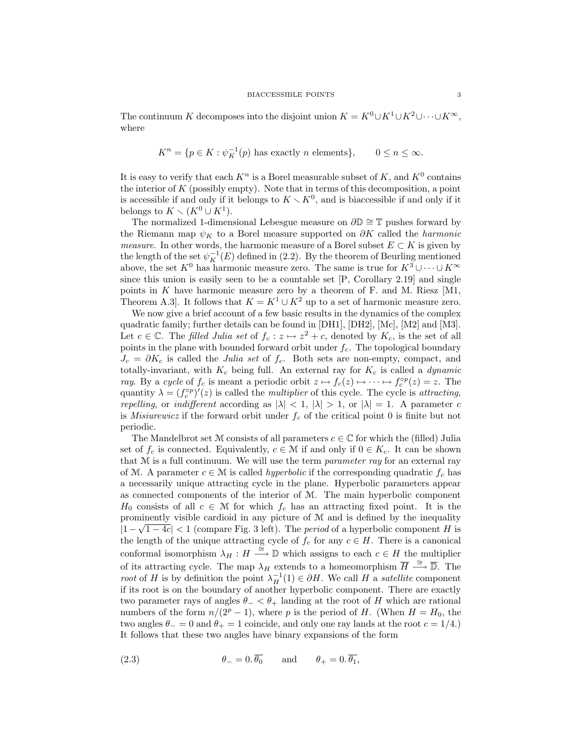The continuum K decomposes into the disjoint union  $K = K^0 \cup K^1 \cup K^2 \cup \cdots \cup K^{\infty}$ , where

$$
K^n = \{ p \in K : \psi_K^{-1}(p) \text{ has exactly } n \text{ elements} \}, \qquad 0 \le n \le \infty.
$$

It is easy to verify that each  $K^n$  is a Borel measurable subset of K, and  $K^0$  contains the interior of  $K$  (possibly empty). Note that in terms of this decomposition, a point is accessible if and only if it belongs to  $K \setminus K^0$ , and is biaccessible if and only if it belongs to  $K \setminus (K^0 \cup K^1)$ .

The normalized 1-dimensional Lebesgue measure on  $\partial\mathbb{D} \cong \mathbb{T}$  pushes forward by the Riemann map  $\psi_K$  to a Borel measure supported on  $\partial K$  called the *harmonic measure.* In other words, the harmonic measure of a Borel subset  $E \subset K$  is given by the length of the set  $\psi_K^{-1}(E)$  defined in (2.2). By the theorem of Beurling mentioned above, the set  $K^0$  has harmonic measure zero. The same is true for  $K^3 \cup \cdots \cup K^{\infty}$ since this union is easily seen to be a countable set [P, Corollary 2.19] and single points in  $K$  have harmonic measure zero by a theorem of  $F$ . and M. Riesz  $[M1,$ Theorem A.3]. It follows that  $K = K^1 \cup K^2$  up to a set of harmonic measure zero.

We now give a brief account of a few basic results in the dynamics of the complex quadratic family; further details can be found in [DH1], [DH2], [Mc], [M2] and [M3]. Let  $c \in \mathbb{C}$ . The filled Julia set of  $f_c : z \mapsto z^2 + c$ , denoted by  $K_c$ , is the set of all points in the plane with bounded forward orbit under  $f_c$ . The topological boundary  $J_c = \partial K_c$  is called the *Julia set* of  $f_c$ . Both sets are non-empty, compact, and totally-invariant, with  $K_c$  being full. An external ray for  $K_c$  is called a *dynamic* ray. By a cycle of  $f_c$  is meant a periodic orbit  $z \mapsto f_c(z) \mapsto \cdots \mapsto f_c^{\circ p}(z) = z$ . The quantity  $\lambda = (f_c^{\circ p})'(z)$  is called the *multiplier* of this cycle. The cycle is *attracting*, repelling, or indifferent according as  $|\lambda| < 1$ ,  $|\lambda| > 1$ , or  $|\lambda| = 1$ . A parameter c is *Misiurewicz* if the forward orbit under  $f_c$  of the critical point 0 is finite but not periodic.

The Mandelbrot set M consists of all parameters  $c \in \mathbb{C}$  for which the (filled) Julia set of  $f_c$  is connected. Equivalently,  $c \in \mathcal{M}$  if and only if  $0 \in K_c$ . It can be shown that M is a full continuum. We will use the term *parameter ray* for an external ray of M. A parameter  $c \in \mathcal{M}$  is called *hyperbolic* if the corresponding quadratic  $f_c$  has a necessarily unique attracting cycle in the plane. Hyperbolic parameters appear as connected components of the interior of M. The main hyperbolic component  $H_0$  consists of all  $c \in \mathcal{M}$  for which  $f_c$  has an attracting fixed point. It is the prominently visible cardioid in any picture of M and is defined by the inequality  $|1-\sqrt{1-4c}| < 1$  (compare Fig. 3 left). The *period* of a hyperbolic component H is the length of the unique attracting cycle of  $f_c$  for any  $c \in H$ . There is a canonical conformal isomorphism  $\lambda_H : H \stackrel{\cong}{\longrightarrow} \mathbb{D}$  which assigns to each  $c \in H$  the multiplier of its attracting cycle. The map  $\lambda_H$  extends to a homeomorphism  $\overline{H} \stackrel{\cong}{\longrightarrow} \overline{\mathbb{D}}$ . The root of H is by definition the point  $\lambda_H^{-1}(1) \in \partial H$ . We call H a satellite component if its root is on the boundary of another hyperbolic component. There are exactly two parameter rays of angles  $\theta_{-} < \theta_{+}$  landing at the root of H which are rational numbers of the form  $n/(2^p-1)$ , where p is the period of H. (When  $H = H_0$ , the two angles  $\theta_-=0$  and  $\theta_+=1$  coincide, and only one ray lands at the root  $c=1/4$ .) It follows that these two angles have binary expansions of the form

(2.3) 
$$
\theta_{-} = 0.\overline{\theta_{0}}
$$
 and  $\theta_{+} = 0.\overline{\theta_{1}},$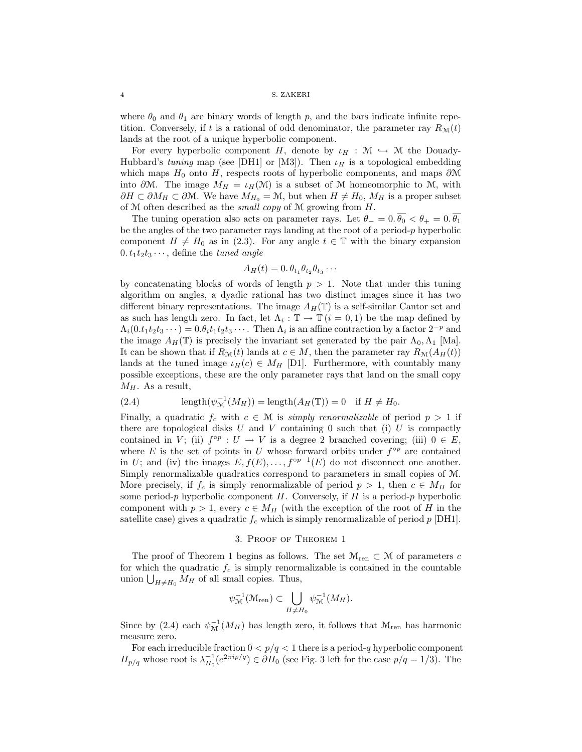where  $\theta_0$  and  $\theta_1$  are binary words of length p, and the bars indicate infinite repetition. Conversely, if t is a rational of odd denominator, the parameter ray  $R_{\mathcal{M}}(t)$ lands at the root of a unique hyperbolic component.

For every hyperbolic component H, denote by  $\iota_H : \mathcal{M} \hookrightarrow \mathcal{M}$  the Douady-Hubbard's tuning map (see [DH1] or [M3]). Then  $\iota_H$  is a topological embedding which maps  $H_0$  onto H, respects roots of hyperbolic components, and maps  $\partial M$ into  $\partial M$ . The image  $M_H = \iota_H(M)$  is a subset of M homeomorphic to M, with  $\partial H \subset \partial M_H \subset \partial \mathcal{M}$ . We have  $M_{H_0} = \mathcal{M}$ , but when  $H \neq H_0$ ,  $M_H$  is a proper subset of  $M$  often described as the *small copy* of  $M$  growing from  $H$ .

The tuning operation also acts on parameter rays. Let  $\theta_-=0.\overline{\theta_0}<\theta_+=0.\overline{\theta_1}$ be the angles of the two parameter rays landing at the root of a period-p hyperbolic component  $H \neq H_0$  as in (2.3). For any angle  $t \in \mathbb{T}$  with the binary expansion  $0. t_1 t_2 t_3 \cdots$ , define the *tuned angle* 

$$
A_H(t) = 0.\,\theta_{t_1}\theta_{t_2}\theta_{t_3}\cdots
$$

by concatenating blocks of words of length  $p > 1$ . Note that under this tuning algorithm on angles, a dyadic rational has two distinct images since it has two different binary representations. The image  $A_H(\mathbb{T})$  is a self-similar Cantor set and as such has length zero. In fact, let  $\Lambda_i : \mathbb{T} \to \mathbb{T}$   $(i = 0, 1)$  be the map defined by  $\Lambda_i(0.t_1t_2t_3\cdots)=0.\theta_it_1t_2t_3\cdots$ . Then  $\Lambda_i$  is an affine contraction by a factor  $2^{-p}$  and the image  $A_H(\mathbb{T})$  is precisely the invariant set generated by the pair  $\Lambda_0, \Lambda_1$  [Ma]. It can be shown that if  $R_{\mathcal{M}}(t)$  lands at  $c \in M$ , then the parameter ray  $R_{\mathcal{M}}(A_H(t))$ lands at the tuned image  $\iota_H(c) \in M_H$  [D1]. Furthermore, with countably many possible exceptions, these are the only parameter rays that land on the small copy  $M_H$ . As a result,

(2.4) 
$$
\operatorname{length}(\psi_{\mathcal{M}}^{-1}(M_H)) = \operatorname{length}(A_H(\mathbb{T})) = 0 \quad \text{if } H \neq H_0.
$$

Finally, a quadratic  $f_c$  with  $c \in \mathcal{M}$  is simply renormalizable of period  $p > 1$  if there are topological disks  $U$  and  $V$  containing 0 such that (i)  $U$  is compactly contained in V; (ii)  $f^{\circ p} : U \to V$  is a degree 2 branched covering; (iii)  $0 \in E$ , where E is the set of points in U whose forward orbits under  $f^{\circ p}$  are contained in U; and (iv) the images  $E, f(E), \ldots, f^{\circ p-1}(E)$  do not disconnect one another. Simply renormalizable quadratics correspond to parameters in small copies of M. More precisely, if  $f_c$  is simply renormalizable of period  $p > 1$ , then  $c \in M_H$  for some period-p hyperbolic component  $H$ . Conversely, if  $H$  is a period-p hyperbolic component with  $p > 1$ , every  $c \in M_H$  (with the exception of the root of H in the satellite case) gives a quadratic  $f_c$  which is simply renormalizable of period p [DH1].

# 3. Proof of Theorem 1

The proof of Theorem 1 begins as follows. The set  $\mathcal{M}_{ren} \subset \mathcal{M}$  of parameters c for which the quadratic  $f_c$  is simply renormalizable is contained in the countable union  $\bigcup_{H \neq H_0} M_H$  of all small copies. Thus,

$$
\psi_{\mathcal{M}}^{-1}(\mathcal{M}_{\text{ren}}) \subset \bigcup_{H \neq H_0} \psi_{\mathcal{M}}^{-1}(M_H).
$$

Since by (2.4) each  $\psi_{\mathcal{M}}^{-1}(M_H)$  has length zero, it follows that  $\mathcal{M}_{ren}$  has harmonic measure zero.

For each irreducible fraction  $0 < p/q < 1$  there is a period-q hyperbolic component  $H_{p/q}$  whose root is  $\lambda_{H_0}^{-1}(e^{2\pi i p/q}) \in \partial H_0$  (see Fig. 3 left for the case  $p/q = 1/3$ ). The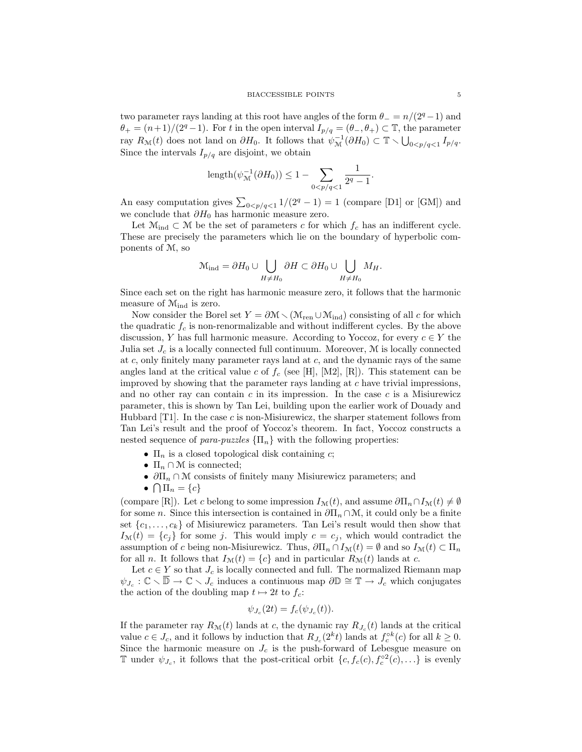two parameter rays landing at this root have angles of the form  $\theta = \frac{n}{2^q - 1}$  and  $\theta_+ = (n+1)/(2^q-1)$ . For t in the open interval  $I_{p/q} = (\theta_-, \theta_+) \subset \mathbb{T}$ , the parameter ray  $R_{\mathcal{M}}(t)$  does not land on  $\partial H_0$ . It follows that  $\psi_{\mathcal{M}}^{-1}(\partial H_0) \subset \mathbb{T} \setminus \bigcup_{0 < p/q < 1} I_{p/q}$ . Since the intervals  $I_{p/q}$  are disjoint, we obtain

length
$$
(\psi_{\mathcal{M}}^{-1}(\partial H_0)) \leq 1 - \sum_{0 < p/q < 1} \frac{1}{2^q - 1}.
$$

An easy computation gives  $\sum_{0 \le p/q < 1} 1/(2^q - 1) = 1$  (compare [D1] or [GM]) and we conclude that  $\partial H_0$  has harmonic measure zero.

Let  $\mathcal{M}_{ind} \subset \mathcal{M}$  be the set of parameters c for which  $f_c$  has an indifferent cycle. These are precisely the parameters which lie on the boundary of hyperbolic components of M, so

$$
\mathcal{M}_{\text{ind}} = \partial H_0 \cup \bigcup_{H \neq H_0} \partial H \subset \partial H_0 \cup \bigcup_{H \neq H_0} M_H.
$$

Since each set on the right has harmonic measure zero, it follows that the harmonic measure of  $\mathcal{M}_{\text{ind}}$  is zero.

Now consider the Borel set  $Y = \partial \mathcal{M} \setminus (\mathcal{M}_{ren} \cup \mathcal{M}_{ind})$  consisting of all c for which the quadratic  $f_c$  is non-renormalizable and without indifferent cycles. By the above discussion, Y has full harmonic measure. According to Yoccoz, for every  $c \in Y$  the Julia set  $J_c$  is a locally connected full continuum. Moreover,  $M$  is locally connected at  $c$ , only finitely many parameter rays land at  $c$ , and the dynamic rays of the same angles land at the critical value c of  $f_c$  (see [H], [M2], [R]). This statement can be improved by showing that the parameter rays landing at c have trivial impressions, and no other ray can contain  $c$  in its impression. In the case  $c$  is a Misiurewicz parameter, this is shown by Tan Lei, building upon the earlier work of Douady and Hubbard  $[T1]$ . In the case c is non-Misiurewicz, the sharper statement follows from Tan Lei's result and the proof of Yoccoz's theorem. In fact, Yoccoz constructs a nested sequence of para-puzzles  $\{\Pi_n\}$  with the following properties:

- $\Pi_n$  is a closed topological disk containing c;
- $\Pi_n \cap \mathcal{M}$  is connected;
- $\partial\Pi_n \cap \mathcal{M}$  consists of finitely many Misiurewicz parameters; and
- $\bullet \ \bigcap \Pi_n = \{c\}$

(compare [R]). Let c belong to some impression  $I_{\mathcal{M}}(t)$ , and assume  $\partial \Pi_n \cap I_{\mathcal{M}}(t) \neq \emptyset$ for some n. Since this intersection is contained in  $\partial\Pi_n \cap \mathcal{M}$ , it could only be a finite set  $\{c_1, \ldots, c_k\}$  of Misiurewicz parameters. Tan Lei's result would then show that  $I_{\mathcal{M}}(t) = \{c_j\}$  for some j. This would imply  $c = c_j$ , which would contradict the assumption of c being non-Misiurewicz. Thus,  $\partial\Pi_n \cap I_{\mathcal{M}}(t) = \emptyset$  and so  $I_{\mathcal{M}}(t) \subset \Pi_n$ for all *n*. It follows that  $I_{\mathcal{M}}(t) = \{c\}$  and in particular  $R_{\mathcal{M}}(t)$  lands at *c*.

Let  $c \in Y$  so that  $J_c$  is locally connected and full. The normalized Riemann map  $\psi_{J_c} : \mathbb{C} \setminus \mathbb{D} \to \mathbb{C} \setminus J_c$  induces a continuous map  $\partial \mathbb{D} \cong \mathbb{T} \to J_c$  which conjugates the action of the doubling map  $t \mapsto 2t$  to  $f_c$ :

$$
\psi_{J_c}(2t) = f_c(\psi_{J_c}(t)).
$$

If the parameter ray  $R_{\mathcal{M}}(t)$  lands at c, the dynamic ray  $R_{J_c}(t)$  lands at the critical value  $c \in J_c$ , and it follows by induction that  $R_{J_c}(2^k t)$  lands at  $f_c^{ok}(c)$  for all  $k \ge 0$ . Since the harmonic measure on  $J_c$  is the push-forward of Lebesgue measure on T under  $\psi_{J_c}$ , it follows that the post-critical orbit  $\{c, f_c(c), f_c^{\circ 2}(c), \ldots\}$  is evenly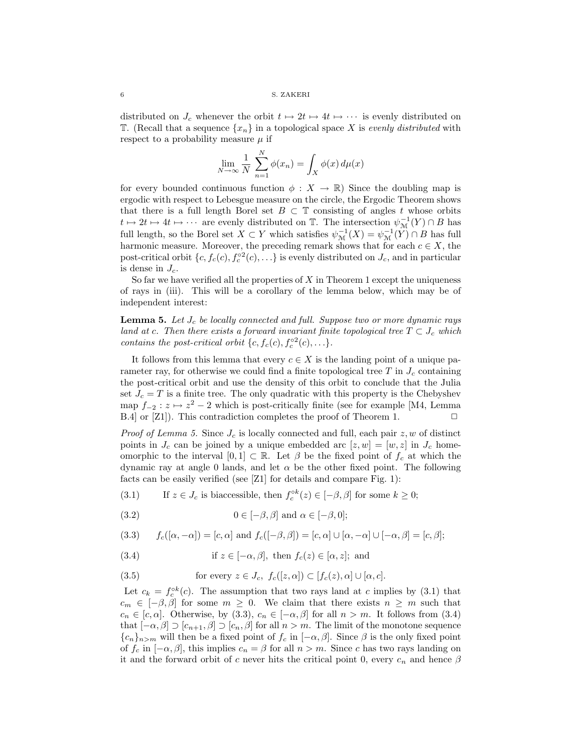6 S. ZAKERI

distributed on  $J_c$  whenever the orbit  $t \mapsto 2t \mapsto 4t \mapsto \cdots$  is evenly distributed on T. (Recall that a sequence  $\{x_n\}$  in a topological space X is evenly distributed with respect to a probability measure  $\mu$  if

$$
\lim_{N \to \infty} \frac{1}{N} \sum_{n=1}^{N} \phi(x_n) = \int_X \phi(x) d\mu(x)
$$

for every bounded continuous function  $\phi: X \to \mathbb{R}$ ) Since the doubling map is ergodic with respect to Lebesgue measure on the circle, the Ergodic Theorem shows that there is a full length Borel set  $B \subset \mathbb{T}$  consisting of angles t whose orbits  $t \mapsto 2t \mapsto 4t \mapsto \cdots$  are evenly distributed on  $\mathbb{T}$ . The intersection  $\psi_{\mathcal{M}}^{-1}(Y) \cap B$  has full length, so the Borel set  $X \subset Y$  which satisfies  $\psi_{\mathcal{M}}^{-1}(X) = \psi_{\mathcal{M}}^{-1}(Y) \cap B$  has full harmonic measure. Moreover, the preceding remark shows that for each  $c \in X$ , the post-critical orbit  $\{c, f_c(c), f_c^{\circ 2}(c), \ldots\}$  is evenly distributed on  $J_c$ , and in particular is dense in  $J_c$ .

So far we have verified all the properties of  $X$  in Theorem 1 except the uniqueness of rays in (iii). This will be a corollary of the lemma below, which may be of independent interest:

**Lemma 5.** Let  $J_c$  be locally connected and full. Suppose two or more dynamic rays land at c. Then there exists a forward invariant finite topological tree  $T \subset J_c$  which contains the post-critical orbit  $\{c, f_c(c), f_c^{\circ 2}(c), \ldots\}.$ 

It follows from this lemma that every  $c \in X$  is the landing point of a unique parameter ray, for otherwise we could find a finite topological tree  $T$  in  $J_c$  containing the post-critical orbit and use the density of this orbit to conclude that the Julia set  $J_c = T$  is a finite tree. The only quadratic with this property is the Chebyshev map  $f_{-2}$  :  $z \mapsto z^2 - 2$  which is post-critically finite (see for example [M4, Lemma B.4] or [Z1]). This contradiction completes the proof of Theorem 1.  $\Box$ 

*Proof of Lemma 5.* Since  $J_c$  is locally connected and full, each pair  $z, w$  of distinct points in  $J_c$  can be joined by a unique embedded arc  $[z, w] = [w, z]$  in  $J_c$  homeomorphic to the interval  $[0,1] \subset \mathbb{R}$ . Let  $\beta$  be the fixed point of  $f_c$  at which the dynamic ray at angle 0 lands, and let  $\alpha$  be the other fixed point. The following facts can be easily verified (see [Z1] for details and compare Fig. 1):

- (3.1) If  $z \in J_c$  is biaccessible, then  $f_c^{\circ k}(z) \in [-\beta, \beta]$  for some  $k \ge 0$ ;
- (3.2)  $0 \in [-\beta, \beta]$  and  $\alpha \in [-\beta, 0];$

(3.3) 
$$
f_c([\alpha, -\alpha]) = [c, \alpha] \text{ and } f_c([-\beta, \beta]) = [c, \alpha] \cup [\alpha, -\alpha] \cup [-\alpha, \beta] = [c, \beta];
$$

(3.4) if  $z \in [-\alpha, \beta]$ , then  $f_c(z) \in [\alpha, z]$ ; and

(3.5) for every 
$$
z \in J_c
$$
,  $f_c([z, \alpha]) \subset [f_c(z), \alpha] \cup [\alpha, c]$ .

Let  $c_k = f_c^{\circ k}(c)$ . The assumption that two rays land at c implies by (3.1) that  $c_m \in [-\beta, \beta]$  for some  $m \geq 0$ . We claim that there exists  $n \geq m$  such that  $c_n \in [c, \alpha]$ . Otherwise, by (3.3),  $c_n \in [-\alpha, \beta]$  for all  $n > m$ . It follows from (3.4) that  $[-\alpha, \beta] \supset [c_{n+1}, \beta] \supset [c_n, \beta]$  for all  $n > m$ . The limit of the monotone sequence  ${c_n}_{n>m}$  will then be a fixed point of  $f_c$  in  $[-\alpha, \beta]$ . Since  $\beta$  is the only fixed point of  $f_c$  in  $[-\alpha, \beta]$ , this implies  $c_n = \beta$  for all  $n > m$ . Since c has two rays landing on it and the forward orbit of c never hits the critical point 0, every  $c_n$  and hence  $\beta$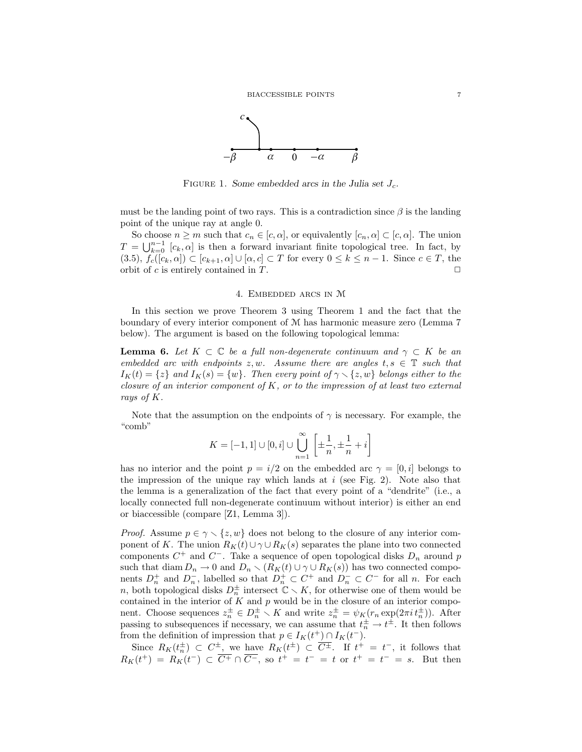

FIGURE 1. Some embedded arcs in the Julia set  $J_c$ .

must be the landing point of two rays. This is a contradiction since  $\beta$  is the landing point of the unique ray at angle 0.

So choose  $n \geq m$  such that  $c_n \in [c, \alpha]$ , or equivalently  $[c_n, \alpha] \subset [c, \alpha]$ . The union  $T = \bigcup_{k=0}^{n-1} [c_k, \alpha]$  is then a forward invariant finite topological tree. In fact, by  $(3.5), f_c([c_k, \alpha]) \subset [c_{k+1}, \alpha] \cup [\alpha, c] \subset T$  for every  $0 \le k \le n-1$ . Since  $c \in T$ , the orbit of c is entirely contained in T orbit of  $c$  is entirely contained in  $T$ .

## 4. EMBEDDED ARCS IN  $M$

In this section we prove Theorem 3 using Theorem 1 and the fact that the boundary of every interior component of M has harmonic measure zero (Lemma 7 below). The argument is based on the following topological lemma:

**Lemma 6.** Let  $K \subset \mathbb{C}$  be a full non-degenerate continuum and  $\gamma \subset K$  be an embedded arc with endpoints  $z, w$ . Assume there are angles  $t, s \in \mathbb{T}$  such that  $I_K(t) = \{z\}$  and  $I_K(s) = \{w\}$ . Then every point of  $\gamma \setminus \{z, w\}$  belongs either to the closure of an interior component of  $K$ , or to the impression of at least two external rays of K.

Note that the assumption on the endpoints of  $\gamma$  is necessary. For example, the "comb"

$$
K = [-1, 1] \cup [0, i] \cup \bigcup_{n=1}^{\infty} \left[ \pm \frac{1}{n}, \pm \frac{1}{n} + i \right]
$$

has no interior and the point  $p = i/2$  on the embedded arc  $\gamma = [0, i]$  belongs to the impression of the unique ray which lands at  $i$  (see Fig. 2). Note also that the lemma is a generalization of the fact that every point of a "dendrite" (i.e., a locally connected full non-degenerate continuum without interior) is either an end or biaccessible (compare [Z1, Lemma 3]).

*Proof.* Assume  $p \in \gamma \setminus \{z, w\}$  does not belong to the closure of any interior component of K. The union  $R_K(t) \cup \gamma \cup R_K(s)$  separates the plane into two connected components  $C^+$  and  $C^-$ . Take a sequence of open topological disks  $D_n$  around p such that diam  $D_n \to 0$  and  $D_n \setminus (R_K(t) \cup \gamma \cup R_K(s))$  has two connected components  $D_n^+$  and  $D_n^-$ , labelled so that  $D_n^+ \subset C^+$  and  $D_n^- \subset C^-$  for all n. For each n, both topological disks  $D_n^{\pm}$  intersect  $\mathbb{C} \setminus K$ , for otherwise one of them would be contained in the interior of  $K$  and  $p$  would be in the closure of an interior component. Choose sequences  $z_n^{\pm} \in D_n^{\pm} \setminus K$  and write  $z_n^{\pm} = \psi_K(r_n \exp(2\pi i t_n^{\pm}))$ . After passing to subsequences if necessary, we can assume that  $t_n^{\pm} \to t^{\pm}$ . It then follows from the definition of impression that  $p \in I_K(t^+) \cap I_K(t^-)$ .

Since  $R_K(t_n^{\pm}) \subset C_{-}^{\pm}$ , we have  $R_K(t^{\pm}) \subset \overline{C_{-}^{\pm}}$ . If  $t^+ = t^-$ , it follows that  $R_K(t^+) = R_K(t^-) \subset \overline{C^+} \cap \overline{C^-}$ , so  $t^+ = t^- = t$  or  $t^+ = t^- = s$ . But then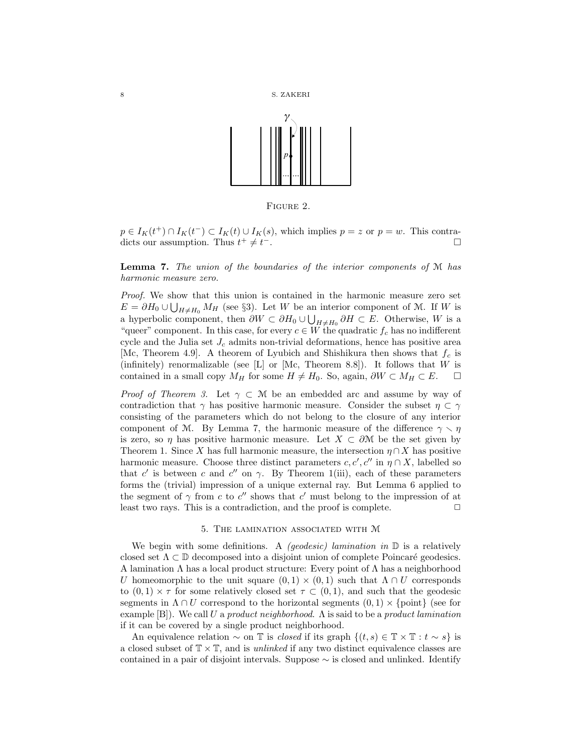





 $p \in I_K(t^+) \cap I_K(t^-) \subset I_K(t) \cup I_K(s)$ , which implies  $p = z$  or  $p = w$ . This contradicts our assumption. Thus  $t^+ \neq t$ <sup>−</sup>. ¤

**Lemma 7.** The union of the boundaries of the interior components of  $M$  has harmonic measure zero.

Proof. We show that this union is contained in the harmonic measure zero set  $E = \partial H_0 \cup \bigcup_{H \neq H_0} M_H$  (see §3). Let W be an interior component of M. If W is a hyperbolic component, then  $\partial W \subset \partial H_0 \cup \bigcup_{H \neq H_0} \partial H \subset E$ . Otherwise, W is a "queer" component. In this case, for every  $c \in W$  the quadratic  $f_c$  has no indifferent cycle and the Julia set  $J_c$  admits non-trivial deformations, hence has positive area [Mc, Theorem 4.9]. A theorem of Lyubich and Shishikura then shows that  $f_c$  is (infinitely) renormalizable (see [L] or [Mc, Theorem 8.8]). It follows that  $W$  is contained in a small copy  $M_H$  for some  $H \neq H_0$ . So, again,  $\partial W \subset M_H \subset E$ .

*Proof of Theorem 3.* Let  $\gamma \subset \mathcal{M}$  be an embedded arc and assume by way of contradiction that  $\gamma$  has positive harmonic measure. Consider the subset  $\eta \subset \gamma$ consisting of the parameters which do not belong to the closure of any interior component of M. By Lemma 7, the harmonic measure of the difference  $\gamma \setminus \eta$ is zero, so  $\eta$  has positive harmonic measure. Let  $X \subset \partial M$  be the set given by Theorem 1. Since X has full harmonic measure, the intersection  $\eta \cap X$  has positive harmonic measure. Choose three distinct parameters  $c, c', c''$  in  $\eta \cap X$ , labelled so that c' is between c and c'' on  $\gamma$ . By Theorem 1(iii), each of these parameters forms the (trivial) impression of a unique external ray. But Lemma 6 applied to the segment of  $\gamma$  from c to c'' shows that c' must belong to the impression of at least two rays. This is a contradiction, and the proof is complete.  $\Box$ 

### 5. The lamination associated with M

We begin with some definitions. A *(geodesic)* lamination in  $\mathbb{D}$  is a relatively closed set  $\Lambda \subset \mathbb{D}$  decomposed into a disjoint union of complete Poincaré geodesics. A lamination Λ has a local product structure: Every point of Λ has a neighborhood U homeomorphic to the unit square  $(0, 1) \times (0, 1)$  such that  $\Lambda \cap U$  corresponds to  $(0,1) \times \tau$  for some relatively closed set  $\tau \subset (0,1)$ , and such that the geodesic segments in  $\Lambda \cap U$  correspond to the horizontal segments  $(0, 1) \times \{\text{point}\}\$  (see for example [B]). We call U a product neighborhood.  $\Lambda$  is said to be a product lamination if it can be covered by a single product neighborhood.

An equivalence relation  $\sim$  on T is *closed* if its graph  $\{(t, s) \in \mathbb{T} \times \mathbb{T} : t \sim s\}$  is a closed subset of  $\mathbb{T} \times \mathbb{T}$ , and is *unlinked* if any two distinct equivalence classes are contained in a pair of disjoint intervals. Suppose ∼ is closed and unlinked. Identify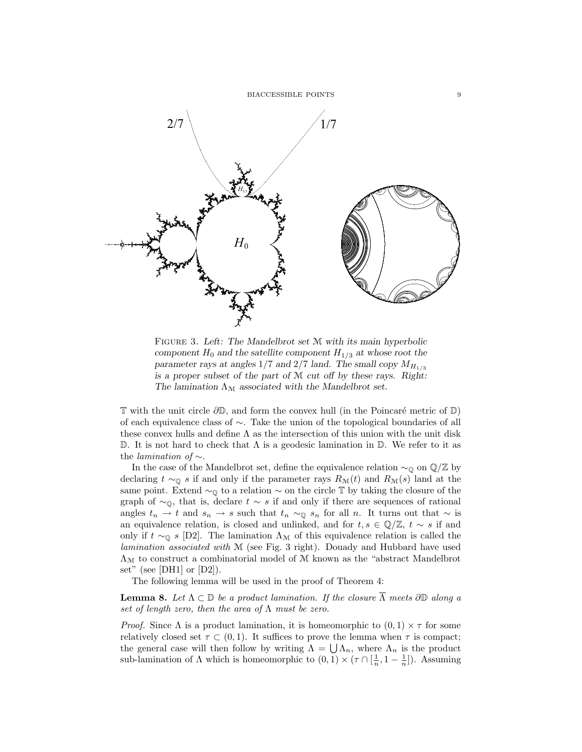BIACCESSIBLE POINTS 9



FIGURE 3. Left: The Mandelbrot set M with its main hyperbolic component  $H_0$  and the satellite component  $H_{1/3}$  at whose root the parameter rays at angles  $1/7$  and  $2/7$  land. The small copy  $M_{H_{1/3}}$ is a proper subset of the part of M cut off by these rays. Right: The lamination  $\Lambda_{\mathcal{M}}$  associated with the Mandelbrot set.

 $\mathbb T$  with the unit circle  $\partial\mathbb D$ , and form the convex hull (in the Poincaré metric of  $\mathbb D$ ) of each equivalence class of ∼. Take the union of the topological boundaries of all these convex hulls and define  $\Lambda$  as the intersection of this union with the unit disk D. It is not hard to check that  $\Lambda$  is a geodesic lamination in D. We refer to it as the *lamination of*  $\sim$ .

In the case of the Mandelbrot set, define the equivalence relation  $\sim_{\mathbb{Q}}$  on  $\mathbb{Q}/\mathbb{Z}$  by declaring  $t \sim_{\mathbb{Q}} s$  if and only if the parameter rays  $R_{\mathcal{M}}(t)$  and  $R_{\mathcal{M}}(s)$  land at the same point. Extend  $\sim_{\mathbb{Q}}$  to a relation  $\sim$  on the circle T by taking the closure of the graph of  $\sim$ <sub>0</sub>, that is, declare  $t \sim s$  if and only if there are sequences of rational angles  $t_n \to t$  and  $s_n \to s$  such that  $t_n \sim_{\mathbb{Q}} s_n$  for all n. It turns out that  $\sim$  is an equivalence relation, is closed and unlinked, and for  $t, s \in \mathbb{Q}/\mathbb{Z}$ ,  $t \sim s$  if and only if  $t \sim_{\mathbb{Q}} s$  [D2]. The lamination  $\Lambda_{\mathcal{M}}$  of this equivalence relation is called the lamination associated with M (see Fig. 3 right). Douady and Hubbard have used  $\Lambda_{\mathcal{M}}$  to construct a combinatorial model of  $\mathcal M$  known as the "abstract Mandelbrot set" (see [DH1] or [D2]).

The following lemma will be used in the proof of Theorem 4:

**Lemma 8.** Let  $\Lambda \subset \mathbb{D}$  be a product lamination. If the closure  $\Lambda$  meets  $\partial \mathbb{D}$  along a set of length zero, then the area of  $\Lambda$  must be zero.

*Proof.* Since  $\Lambda$  is a product lamination, it is homeomorphic to  $(0,1) \times \tau$  for some relatively closed set  $\tau \subset (0, 1)$ . It suffices to prove the lemma when  $\tau$  is compact; the general case will then follow by writing  $\Lambda = \bigcup \Lambda_n$ , where  $\Lambda_n$  is the product sub-lamination of  $\Lambda$  which is homeomorphic to  $(0,1) \times (\tau \cap [\frac{1}{n}, 1 - \frac{1}{n}])$ . Assuming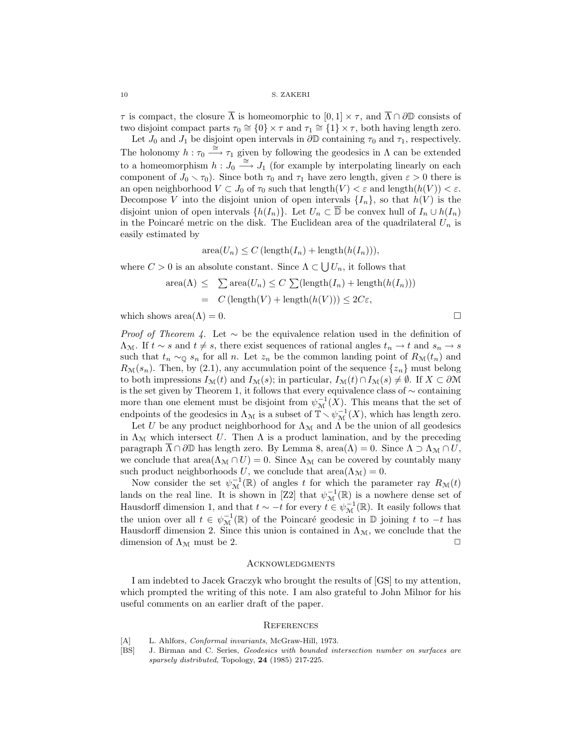10 S. ZAKERI

 $\tau$  is compact, the closure  $\overline{\Lambda}$  is homeomorphic to  $[0,1] \times \tau$ , and  $\overline{\Lambda} \cap \partial \mathbb{D}$  consists of two disjoint compact parts  $\tau_0 \cong \{0\} \times \tau$  and  $\tau_1 \cong \{1\} \times \tau$ , both having length zero.

Let  $J_0$  and  $J_1$  be disjoint open intervals in  $\partial \mathbb{D}$  containing  $\tau_0$  and  $\tau_1$ , respectively. The holonomy  $h : \tau_0 \stackrel{\simeq}{\longrightarrow} \tau_1$  given by following the geodesics in  $\Lambda$  can be extended to a homeomorphism  $h: J_0 \stackrel{\cong}{\longrightarrow} J_1$  (for example by interpolating linearly on each component of  $J_0 \setminus \tau_0$ ). Since both  $\tau_0$  and  $\tau_1$  have zero length, given  $\varepsilon > 0$  there is an open neighborhood  $V \subset J_0$  of  $\tau_0$  such that length $(V) < \varepsilon$  and length $(h(V)) < \varepsilon$ . Decompose V into the disjoint union of open intervals  $\{I_n\}$ , so that  $h(V)$  is the disjoint union of open intervals  $\{h(I_n)\}$ . Let  $U_n \subset \overline{\mathbb{D}}$  be convex hull of  $I_n \cup h(I_n)$ in the Poincaré metric on the disk. The Euclidean area of the quadrilateral  $U_n$  is easily estimated by

$$
\operatorname{area}(U_n) \le C \left( \operatorname{length}(I_n) + \operatorname{length}(h(I_n)) \right),\,
$$

where  $C > 0$  is an absolute constant. Since  $\Lambda \subset \bigcup U_n$ , it follows that

area(
$$
\Lambda
$$
)  $\leq$   $\sum$  area( $U_n$ )  $\leq$   $C \sum$ (length( $I_n$ ) + length( $h(I_n$ )))  
=  $C$ (length( $V$ ) + length( $h(V$ )))  $\leq$  2C $\varepsilon$ ,

which shows area $(\Lambda) = 0$ .

*Proof of Theorem 4.* Let  $\sim$  be the equivalence relation used in the definition of  $\Lambda_{\mathcal{M}}$ . If  $t \sim s$  and  $t \neq s$ , there exist sequences of rational angles  $t_n \to t$  and  $s_n \to s$ such that  $t_n \sim_{\mathbb{Q}} s_n$  for all n. Let  $z_n$  be the common landing point of  $R_{\mathcal{M}}(t_n)$  and  $R_{\mathcal{M}}(s_n)$ . Then, by (2.1), any accumulation point of the sequence  $\{z_n\}$  must belong to both impressions  $I_{\mathcal{M}}(t)$  and  $I_{\mathcal{M}}(s)$ ; in particular,  $I_{\mathcal{M}}(t) \cap I_{\mathcal{M}}(s) \neq \emptyset$ . If  $X \subset \partial \mathcal{M}$ is the set given by Theorem 1, it follows that every equivalence class of ∼ containing more than one element must be disjoint from  $\psi_{\mathcal{M}}^{-1}(X)$ . This means that the set of endpoints of the geodesics in  $\Lambda_{\mathcal{M}}$  is a subset of  $\mathbb{T} \setminus \psi_{\mathcal{M}}^{-1}(X)$ , which has length zero.

Let U be any product neighborhood for  $\Lambda_{\mathcal{M}}$  and  $\Lambda$  be the union of all geodesics in  $\Lambda_{\mathcal{M}}$  which intersect U. Then  $\Lambda$  is a product lamination, and by the preceding paragraph  $\overline{\Lambda} \cap \partial \mathbb{D}$  has length zero. By Lemma 8, area $(\Lambda) = 0$ . Since  $\Lambda \supset \Lambda_{\mathcal{M}} \cap U$ , we conclude that  $area(\Lambda_{\mathcal{M}} \cap U) = 0$ . Since  $\Lambda_{\mathcal{M}}$  can be covered by countably many such product neighborhoods U, we conclude that  $area(\Lambda_{\mathcal{M}}) = 0$ .

Now consider the set  $\psi_{\mathcal{M}}^{-1}(\mathbb{R})$  of angles t for which the parameter ray  $R_{\mathcal{M}}(t)$ lands on the real line. It is shown in [Z2] that  $\psi_{\mathcal{M}}^{-1}(\mathbb{R})$  is a nowhere dense set of Hausdorff dimension 1, and that  $t \sim -t$  for every  $t \in \psi_{\mathcal{M}}^{-1}(\mathbb{R})$ . It easily follows that the union over all  $t \in \psi_{\mathcal{M}}^{-1}(\mathbb{R})$  of the Poincaré geodesic in  $\mathbb{D}$  joining t to  $-t$  has Hausdorff dimension 2. Since this union is contained in  $\Lambda_{\mathcal{M}}$ , we conclude that the dimension of  $\Lambda_{\mathcal{M}}$  must be 2.

# **ACKNOWLEDGMENTS**

I am indebted to Jacek Graczyk who brought the results of [GS] to my attention, which prompted the writing of this note. I am also grateful to John Milnor for his useful comments on an earlier draft of the paper.

#### **REFERENCES**

- [A] L. Ahlfors, *Conformal invariants*, McGraw-Hill, 1973.
- [BS] J. Birman and C. Series, Geodesics with bounded intersection number on surfaces are sparsely distributed, Topology, 24 (1985) 217-225.